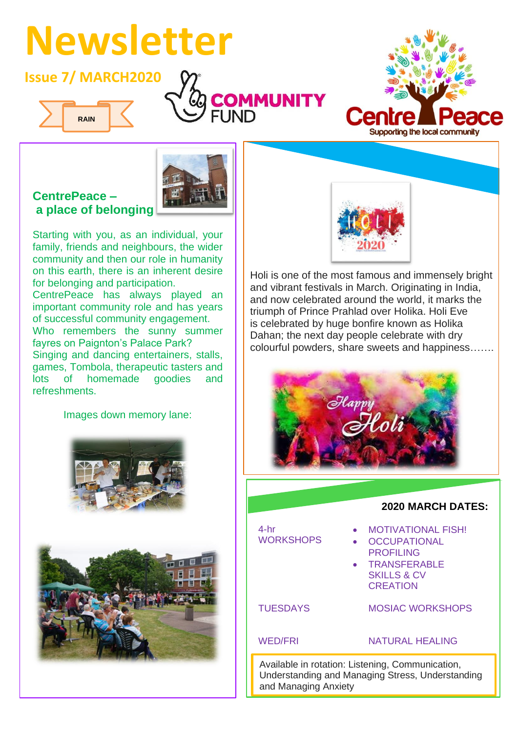# **Newsletter**

## **Issue 7/ MARCH2020**









#### **CentrePeace – a place of belonging**

Starting with you, as an individual, your family, friends and neighbours, the wider community and then our role in humanity on this earth, there is an inherent desire for belonging and participation.

CentrePeace has always played an important community role and has years of successful community engagement. Who remembers the sunny summer fayres on Paignton's Palace Park? Singing and dancing entertainers, stalls, games, Tombola, therapeutic tasters and lots of homemade goodies and refreshments.

Images down memory lane:





Holi is one of the most famous and immensely bright and vibrant festivals in March. Originating in India, and now celebrated around the world, it marks the triumph of Prince Prahlad over Holika. Holi Eve is celebrated by huge bonfire known as Holika Dahan; the next day people celebrate with dry colourful powders, share sweets and happiness…….





4-hr WORKSHOPS • OC **Free State of the MOTIVATIONAL FISH!** • OCCUPATIONAL **PROFILING** • TRANSFERABLE SKILLS & CV **CREATION TUESDAYS** WED/FRI **UESDAYS** MOSIAC WORKSHOPS **ED/FRI** NATURAL HEALING  $\mathcal{L}(\mathcal{L})$  is a modified or an interesting  $\mathcal{L}(\mathcal{L})$ food or clothing packages exceptional needs to be a state of the state of the state of the state of the state of the state of the state o<br>The state of the state of the state of the state of the state of the state of the state of the state of the st

Available in rotation: Listening, Communication, Understanding and Managing Stress, Understanding and Managing Anxiety including natural and Managing Anxiety healist and the control of the control of the control of the control of the control of the control of the control of the control of the control of the control of the control of the control of the control of the control of